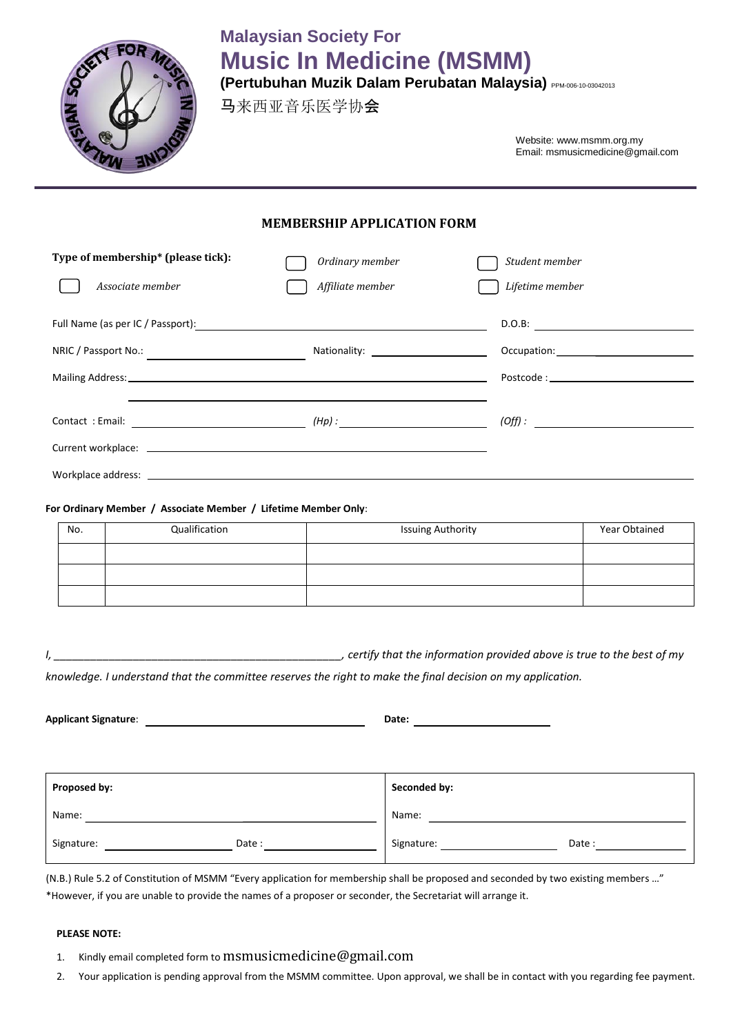

# **Malaysian Society For Music In Medicine (MSMM)**

**(Pertubuhan Muzik Dalam Perubatan Malaysia)** PPM-006-10-03042013

马来西亚音乐医学协会

Website: www.msmm.org.my Email: msmusicmedicine@gmail.com

## **MEMBERSHIP APPLICATION FORM**

| Type of membership* (please tick):                                                                                                                                                                                             | Ordinary member  | Student member                                                                                                                                                                                                                              |
|--------------------------------------------------------------------------------------------------------------------------------------------------------------------------------------------------------------------------------|------------------|---------------------------------------------------------------------------------------------------------------------------------------------------------------------------------------------------------------------------------------------|
| Associate member                                                                                                                                                                                                               | Affiliate member | Lifetime member                                                                                                                                                                                                                             |
|                                                                                                                                                                                                                                |                  | D.O.B:                                                                                                                                                                                                                                      |
|                                                                                                                                                                                                                                |                  | Occupation: The contract of the contract of the contract of the contract of the contract of the contract of the                                                                                                                             |
|                                                                                                                                                                                                                                |                  |                                                                                                                                                                                                                                             |
|                                                                                                                                                                                                                                |                  | $(Off):$ and the contract of $Off$ is a set of $Off$ is a set of $Off$ is a set of $Off$ is a set of $Off$ is a set of $Off$ is a set of $Off$ is a set of $Off$ is a set of $Off$ is a set of $Off$ is a set of $Off$ is a set of $Off$ is |
|                                                                                                                                                                                                                                |                  |                                                                                                                                                                                                                                             |
| Workplace address: North Marian Communication of the Communication of the Communication of the Communication of the Communication of the Communication of the Communication of the Communication of the Communication of the C |                  |                                                                                                                                                                                                                                             |

## **For Ordinary Member / Associate Member / Lifetime Member Only**:

| No. | Qualification | <b>Issuing Authority</b> | Year Obtained |
|-----|---------------|--------------------------|---------------|
|     |               |                          |               |
|     |               |                          |               |
|     |               |                          |               |

*I*, *certify that the information provided above is true to the best of my*

*knowledge. I understand that the committee reserves the right to make the final decision on my application.*

| <b>Applicant Signature:</b> |       | Date:        |       |
|-----------------------------|-------|--------------|-------|
|                             |       |              |       |
|                             |       |              |       |
| Proposed by:                |       | Seconded by: |       |
| Name:                       |       | Name:        |       |
| Signature:                  | Date: | Signature:   | Date: |

(N.B.) Rule 5.2 of Constitution of MSMM "Every application for membership shall be proposed and seconded by two existing members …" \*However, if you are unable to provide the names of a proposer or seconder, the Secretariat will arrange it.

## **PLEASE NOTE:**

- 1. Kindly email completed form to msmusicmedicine@gmail.com
- 2. Your application is pending approval from the MSMM committee. Upon approval, we shall be in contact with you regarding fee payment.